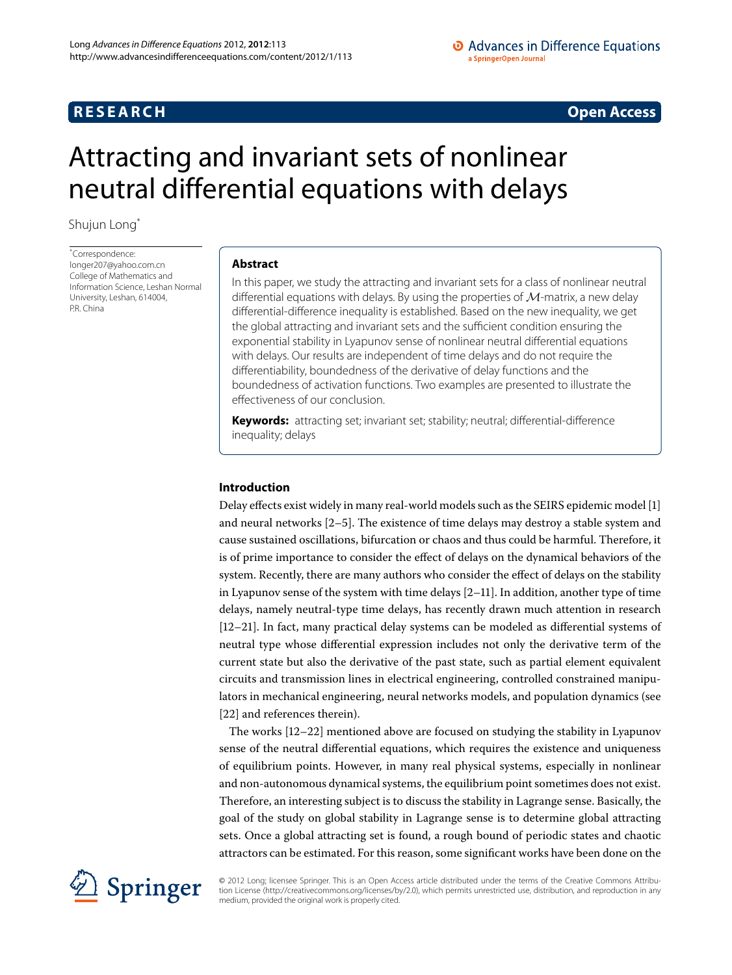# **RESEARCH CONSTRUCTER ACCESS**

# <span id="page-0-0"></span>Attracting and invariant sets of nonlinear neutral differential equations with delays

Shujun Lon[g\\*](#page-0-0)

\* Correspondence: [longer207@yahoo.com.cn](mailto:longer207@yahoo.com.cn) College of Mathematics and Information Science, Leshan Normal University, Leshan, 614004, P.R. China

# **Abstract**

In this paper, we study the attracting and invariant sets for a class of nonlinear neutral differential equations with delays. By using the properties of  $M$ -matrix, a new delay differential-difference inequality is established. Based on the new inequality, we get the global attracting and invariant sets and the sufficient condition ensuring the exponential stability in Lyapunov sense of nonlinear neutral differential equations with delays. Our results are independent of time delays and do not require the differentiability, boundedness of the derivative of delay functions and the boundedness of activation functions. Two examples are presented to illustrate the effectiveness of our conclusion.

**Keywords:** attracting set; invariant set; stability; neutral; differential-difference inequality; delays

# **Introduction**

Delay effects exist widely in many real-world models such as the SEIRS epidemic model [[\]](#page-11-0) and neural networks  $[2-5]$  $[2-5]$ . The existence of time delays may destroy a stable system and cause sustained oscillations, bifurcation or chaos and thus could be harmful. Therefore, it is of prime importance to consider the effect of delays on the dynamical behaviors of the system. Recently, there are many authors who consider the effect of delays on the stability in Lyapunov sense of the system with time delays  $[2-11]$  $[2-11]$ . In addition, another type of time delays, namely neutral-type time delays, has recently drawn much attention in research  $[12-21]$  $[12-21]$ . In fact, many practical delay systems can be modeled as differential systems of neutral type whose differential expression includes not only the derivative term of the current state but also the derivative of the past state, such as partial element equivalent circuits and transmission lines in electrical engineering, controlled constrained manipulators in mechanical engineering, neural networks models, and population dynamics (see [22[\]](#page-12-4) and references therein).

The works  $[12-22]$  $[12-22]$  mentioned above are focused on studying the stability in Lyapunov sense of the neutral differential equations, which requires the existence and uniqueness of equilibrium points. However, in many real physical systems, especially in nonlinear and non-autonomous dynamical systems, the equilibrium point sometimes does not exist. Therefore, an interesting subject is to discuss the stability in Lagrange sense. Basically, the goal of the study on global stability in Lagrange sense is to determine global attracting sets. Once a global attracting set is found, a rough bound of periodic states and chaotic attractors can be estimated. For this reason, some significant works have been done on the



© 2012 Long; licensee Springer. This is an Open Access article distributed under the terms of the Creative Commons Attribution License ([http://creativecommons.org/licenses/by/2.0\)](http://creativecommons.org/licenses/by/2.0), which permits unrestricted use, distribution, and reproduction in any medium, provided the original work is properly cited.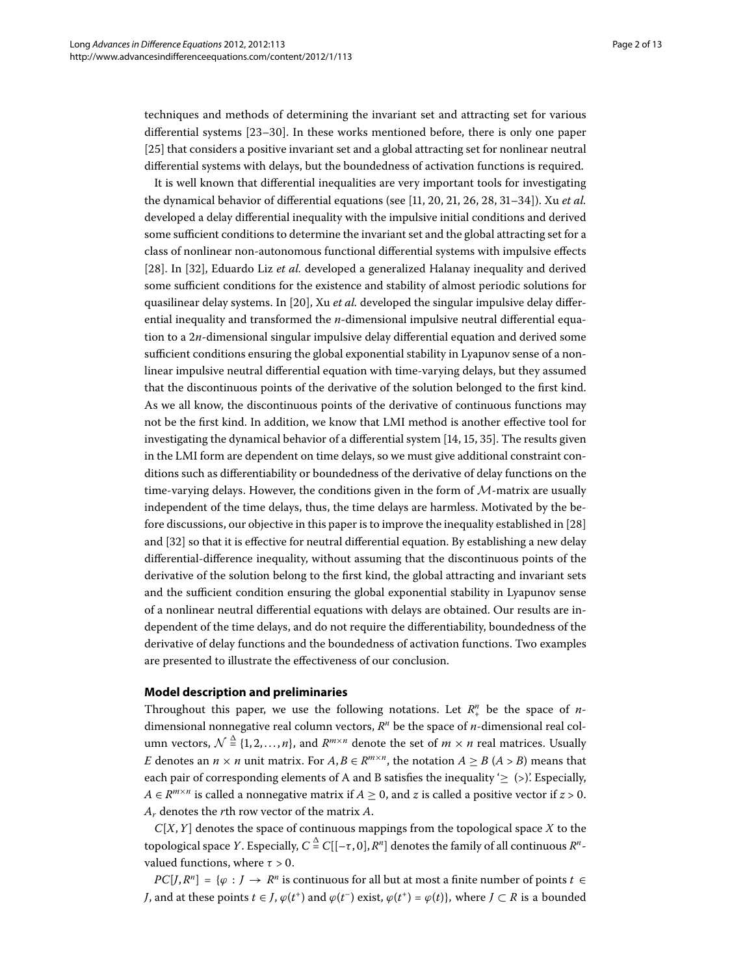techniques and methods of determining the invariant set and attracting set for various differential systems  $[23-30]$  $[23-30]$ . In these works mentioned before, there is only one paper [25[\]](#page-12-7) that considers a positive invariant set and a global attracting set for nonlinear neutral differential systems with delays, but the boundedness of activation functions is required.

It is well known that differential inequalities are very important tools for investigating the dynamical behavior of differential equations (see [11[,](#page-12-9) 20, 21, 26, 28, 31-34]). Xu *et al.* developed a delay differential inequality with the impulsive initial conditions and derived some sufficient conditions to determine the invariant set and the global attracting set for a class of nonlinear non-autonomous functional differential systems with impulsive effects [28[\]](#page-12-13). In [32], Eduardo Liz *et al.* developed a generalized Halanay inequality and derived some sufficient conditions for the existence and stability of almost periodic solutions for quasilinear delay systems. In [20], Xu *et al.* developed the singular impulsive delay differential inequality and transformed the *n*-dimensional impulsive neutral differential equation to a 2*n*-dimensional singular impulsive delay differential equation and derived some sufficient conditions ensuring the global exponential stability in Lyapunov sense of a nonlinear impulsive neutral differential equation with time-varying delays, but they assumed that the discontinuous points of the derivative of the solution belonged to the first kind. As we all know, the discontinuous points of the derivative of continuous functions may not be the first kind. In addition, we know that LMI method is another effective tool for investigating the dynamical behavior of a differential system  $[14, 15, 35]$  $[14, 15, 35]$  $[14, 15, 35]$ . The results given in the LMI form are dependent on time delays, so we must give additional constraint conditions such as differentiability or boundedness of the derivative of delay functions on the time-varying delays. However, the conditions given in the form of  $M$ -matrix are usually independent of the time delays, thus, the time delays are harmless. Motivated by the before discussions, our objective in this paper is to improve the inequality established in [28] and  $[32]$  so that it is effective for neutral differential equation. By establishing a new delay differential-difference inequality, without assuming that the discontinuous points of the derivative of the solution belong to the first kind, the global attracting and invariant sets and the sufficient condition ensuring the global exponential stability in Lyapunov sense of a nonlinear neutral differential equations with delays are obtained. Our results are independent of the time delays, and do not require the differentiability, boundedness of the derivative of delay functions and the boundedness of activation functions. Two examples are presented to illustrate the effectiveness of our conclusion.

### **Model description and preliminaries**

Throughout this paper, we use the following notations. Let  $R_+^n$  be the space of *n*dimensional nonnegative real column vectors, *R<sup>n</sup>* be the space of *n*-dimensional real column vectors,  $\mathcal{N} \stackrel{\Delta}{=} \{1, 2, ..., n\}$ , and  $R^{m \times n}$  denote the set of  $m \times n$  real matrices. Usually *E* denotes an *n* × *n* unit matrix. For  $A, B \in R^{m \times n}$ , the notation  $A \geq B$  ( $A > B$ ) means that each pair of corresponding elements of A and B satisfies the inequality ' $\ge$  (>)'. Especially,  $A \in \mathbb{R}^{m \times n}$  is called a nonnegative matrix if  $A \geq 0$ , and *z* is called a positive vector if  $z > 0$ . *Ar* denotes the *r*th row vector of the matrix *A*.

*C*[*X*,*Y*] denotes the space of continuous mappings from the topological space *X* to the topological space *Y* . Especially,  $C\overset{\Delta}{=}C[[-\tau,0],R^n]$  denotes the family of all continuous  $R^n$  valued functions, where  $\tau > 0$ .

*PC*[*J*, $R^n$ ] = { $\varphi$  : *J* →  $R^n$  is continuous for all but at most a finite number of points  $t \in$ *J*, and at these points *t* ∈ *J*,  $\varphi(t^+)$  and  $\varphi(t^-)$  exist,  $\varphi(t^+) = \varphi(t)$ }, where *J* ⊂ *R* is a bounded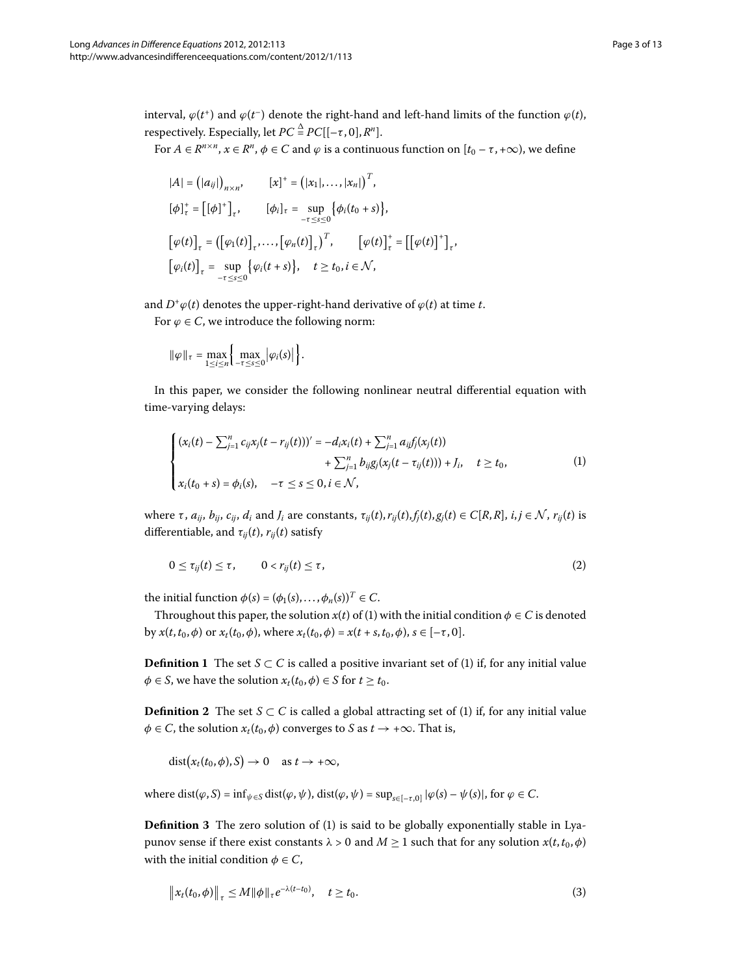interval,  $\varphi(t^+)$  and  $\varphi(t^-)$  denote the right-hand and left-hand limits of the function  $\varphi(t)$ ,  $\epsilon$  respectively. Especially, let  $PC \stackrel{\Delta}{=} PC[[-\tau,0],R^n]$  .

For  $A \in \mathbb{R}^{n \times n}$ ,  $x \in \mathbb{R}^n$ ,  $\phi \in C$  and  $\varphi$  is a continuous function on  $[t_0 - \tau, +\infty)$ , we define

$$
|A| = (|a_{ij}|)_{n \times n}, \qquad [x]^+ = (|x_1|, \dots, |x_n|)^T,
$$
  
\n
$$
[\phi]_{\tau}^+ = [[\phi]^+]_{\tau}, \qquad [\phi_i]_{\tau} = \sup_{-\tau \le s \le 0} {\phi_i(t_0 + s)},
$$
  
\n
$$
[\varphi(t)]_{\tau} = ([\varphi_1(t)]_{\tau}, \dots, [\varphi_n(t)]_{\tau})^T, \qquad [\varphi(t)]_{\tau}^+ = [[\varphi(t)]^+]_{\tau},
$$
  
\n
$$
[\varphi_i(t)]_{\tau} = \sup_{-\tau \le s \le 0} {\varphi_i(t + s)}, \quad t \ge t_0, i \in \mathcal{N},
$$

and  $D^+\varphi(t)$  denotes the upper-right-hand derivative of  $\varphi(t)$  at time *t*.

For  $\varphi \in C$ , we introduce the following norm:

<span id="page-2-0"></span>
$$
\|\varphi\|_{\tau} = \max_{1 \leq i \leq n} \left\{ \max_{-\tau \leq s \leq 0} |\varphi_i(s)| \right\}.
$$

In this paper, we consider the following nonlinear neutral differential equation with time-varying delays:

$$
\begin{cases}\n(x_i(t) - \sum_{j=1}^n c_{ij}x_j(t - r_{ij}(t)))' = -d_i x_i(t) + \sum_{j=1}^n a_{ij}f_j(x_j(t)) \\
+ \sum_{j=1}^n b_{ij}g_j(x_j(t - \tau_{ij}(t))) + J_i, \quad t \ge t_0, \\
x_i(t_0 + s) = \phi_i(s), \quad -\tau \le s \le 0, i \in \mathcal{N},\n\end{cases}
$$
\n(1)

where  $\tau$ ,  $a_{ij}$ ,  $b_{ij}$ ,  $c_{ij}$ ,  $d_i$  and  $J_i$  are constants,  $\tau_{ij}(t)$ ,  $r_{ij}(t)$ ,  $f_j(t)$ ,  $g_j(t) \in C[R, R]$ ,  $i, j \in \mathcal{N}$ ,  $r_{ij}(t)$  is differentiable, and  $\tau_{ij}(t)$ ,  $r_{ij}(t)$  satisfy

$$
0 \leq \tau_{ij}(t) \leq \tau, \qquad 0 < r_{ij}(t) \leq \tau,
$$
\n<sup>(2)</sup>

the initial function  $\phi(s) = (\phi_1(s), \dots, \phi_n(s))^T \in C$ .

Throughout this paper, the solution  $x(t)$  of (1) with the initial condition  $\phi \in C$  is denoted by  $x(t, t_0, \phi)$  or  $x_t(t_0, \phi)$ , where  $x_t(t_0, \phi) = x(t + s, t_0, \phi)$ ,  $s \in [-\tau, 0]$ .

**Definition 1** The set *S*  $\subset$  *C* is called a positive invariant set of [\(](#page-2-0)1) if, for any initial value  $\phi \in S$ , we have the solution  $x_t(t_0, \phi) \in S$  for  $t \geq t_0$ .

**Definition 2** The set *S*  $\subset$  *C* is called a global attracting set of [\(](#page-2-0)1) if, for any initial value  $\phi \in C$ , the solution  $x_t(t_0, \phi)$  converges to *S* as  $t \to +\infty$ . That is,

 $dist(x_t(t_0, \phi), S) \to 0 \text{ as } t \to +\infty,$ 

where dist( $\varphi$ , *S*) = inf<sub> $\psi \in S$ </sub> dist( $\varphi$ ,  $\psi$ ), dist( $\varphi$ ,  $\psi$ ) = sup<sub>*s*∈[-*τ*,0]</sub>  $|\varphi(s) - \psi(s)|$ , for  $\varphi \in C$ .

**Definition 3** The zero solution of (1) is said to be globally exponentially stable in Lyapunov sense if there exist constants  $\lambda > 0$  and  $M \ge 1$  such that for any solution  $x(t, t_0, \phi)$ with the initial condition  $\phi \in C$ ,

$$
\|x_t(t_0,\phi)\|_{\tau} \leq M \|\phi\|_{\tau} e^{-\lambda(t-t_0)}, \quad t \geq t_0.
$$
\n
$$
(3)
$$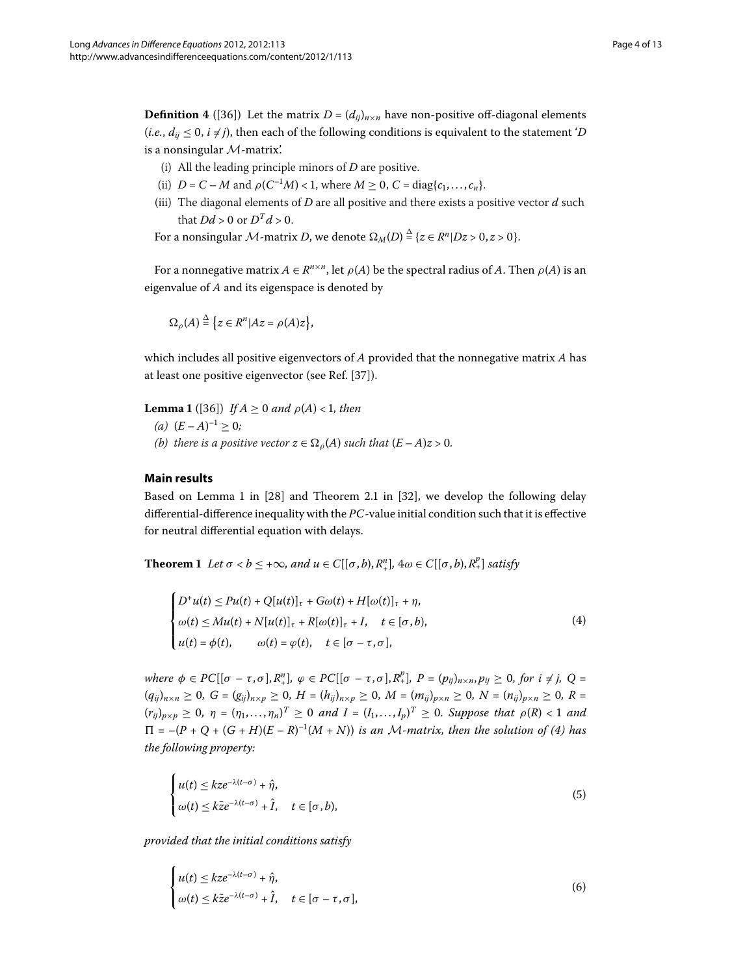<span id="page-3-4"></span>**Definition 4** ([36]) Let the matrix  $D = (d_{ij})_{n \times n}$  have non-positive off-diagonal elements (*i.e.,*  $d_{ij} \leq 0$ *, i*  $\neq$  *j*), then each of the following conditions is equivalent to the statement '*D* is a nonsingular  $M$ -matrix'.

- (i) All the leading principle minors of *D* are positive.
- (ii)  $D = C M$  and  $\rho(C^{-1}M) < 1$ , where  $M \ge 0$ ,  $C = \text{diag}\{c_1, \ldots, c_n\}$ .
- (iii) The diagonal elements of *D* are all positive and there exists a positive vector *d* such that  $Dd > 0$  or  $D^T d > 0$ .

For a nonsingular  $\mathcal{M}$ -matrix *D*, we denote  $\Omega_M(D) \stackrel{\Delta}{=} \{z \in R^n | Dz > 0, z > 0\}.$ 

<span id="page-3-5"></span>For a nonnegative matrix  $A \in \mathbb{R}^{n \times n}$ , let  $\rho(A)$  be the spectral radius of A. Then  $\rho(A)$  is an eigenvalue of *A* and its eigenspace is denoted by

 $\Omega_{\rho}(A) \stackrel{\Delta}{=} \{z \in R^n | Az = \rho(A)z\},\$ 

which includes all positive eigenvectors of *A* provided that the nonnegative matrix *A* has at least one positive eigenvector (see Ref. [37[\]](#page-12-18)).

**Lemma 1** ([36]) *If A*  $\geq$  0 *and*  $\rho(A)$  < 1*, then* 

- $(a)$   $(E-A)^{-1} \geq 0;$
- <span id="page-3-3"></span>*(b)* there is a positive vector  $z \in \Omega$ <sub>*o*</sub>(*A*) such that  $(E - A)z > 0$ .

# **Main results**

Based on Lemma 1 in  $[28]$  and Theorem 2.1 in  $[32]$ , we develop the following delay differential-difference inequality with the *PC*-value initial condition such that it is effective for neutral differential equation with delays.

**Theorem 1** Let  $\sigma < b \leq +\infty$ , and  $u \in C[(\sigma, b), R_{+}^{n}]$ ,  $4\omega \in C[(\sigma, b), R_{+}^{p}]$  satisfy

<span id="page-3-2"></span><span id="page-3-0"></span>
$$
\begin{cases}\nD^+u(t) \le P u(t) + Q[u(t)]_{\tau} + G \omega(t) + H[\omega(t)]_{\tau} + \eta, \\
\omega(t) \le M u(t) + N[u(t)]_{\tau} + R[\omega(t)]_{\tau} + I, \quad t \in [\sigma, b), \\
u(t) = \phi(t), \qquad \omega(t) = \varphi(t), \quad t \in [\sigma - \tau, \sigma],\n\end{cases} \tag{4}
$$

where  $\phi \in PC[[\sigma - \tau, \sigma], R^n_+]$ ,  $\varphi \in PC[[\sigma - \tau, \sigma], R^p_+]$ ,  $P = (p_{ij})_{n \times n}, p_{ij} \ge 0$ , for  $i \ne j$ ,  $Q =$  $(q_{ij})_{n \times n} \ge 0$ ,  $G = (g_{ij})_{n \times p} \ge 0$ ,  $H = (h_{ij})_{n \times p} \ge 0$ ,  $M = (m_{ij})_{p \times n} \ge 0$ ,  $N = (n_{ij})_{p \times n} \ge 0$ ,  $R = (h_{ij})_{n \times p} \ge 0$  $(r_{ij})_{p\times p} \geq 0$ ,  $\eta = (\eta_1, \ldots, \eta_n)^T \geq 0$  and  $I = (I_1, \ldots, I_p)^T \geq 0$ . Suppose that  $\rho(R) < 1$  and  $\Pi = -(P + Q + (G + H)(E - R)^{-1}(M + N))$  *is an M*-matrix, then the solution of (4) has *the following property:*

<span id="page-3-1"></span>
$$
\begin{cases}\n u(t) \le kze^{-\lambda(t-\sigma)} + \hat{\eta}, \\
 \omega(t) \le k\tilde{z}e^{-\lambda(t-\sigma)} + \hat{I}, \quad t \in [\sigma, b),\n\end{cases} \tag{5}
$$

*provided that the initial conditions satisfy*

$$
\begin{cases} u(t) \le kze^{-\lambda(t-\sigma)} + \hat{\eta}, \\ \omega(t) \le k\tilde{z}e^{-\lambda(t-\sigma)} + \hat{I}, \quad t \in [\sigma - \tau, \sigma], \end{cases}
$$
 (6)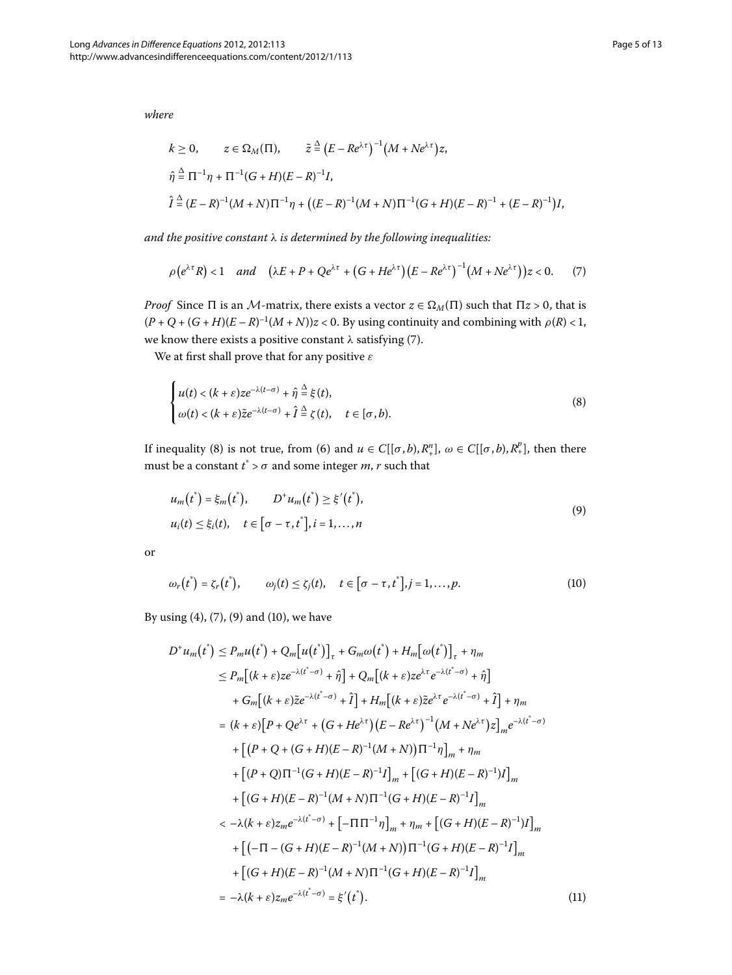*where*

<span id="page-4-0"></span>
$$
k \ge 0, \qquad z \in \Omega_M(\Pi), \qquad \tilde{z} \stackrel{\Delta}{=} (E - Re^{\lambda \tau})^{-1} (M + Ne^{\lambda \tau}) z,
$$
  

$$
\hat{\eta} \stackrel{\Delta}{=} \Pi^{-1} \eta + \Pi^{-1} (G + H) (E - R)^{-1} I,
$$
  

$$
\hat{I} \stackrel{\Delta}{=} (E - R)^{-1} (M + N) \Pi^{-1} \eta + ((E - R)^{-1} (M + N) \Pi^{-1} (G + H) (E - R)^{-1} + (E - R)^{-1}) I,
$$

*and the positive constant λ is determined by the following inequalities:*

<span id="page-4-1"></span>
$$
\rho\big(e^{\lambda\tau}R\big)<1 \quad \text{and} \quad \big(\lambda E+P+Qe^{\lambda\tau}+\big(G+He^{\lambda\tau}\big)\big(E-Re^{\lambda\tau}\big)^{-1}\big(M+Ne^{\lambda\tau}\big)\big)z<0.\tag{7}
$$

*Proof* Since  $\Pi$  is an M-matrix, there exists a vector  $z \in \Omega_M(\Pi)$  such that  $\Pi z > 0$ , that is  $(P + Q + (G + H)(E - R)^{-1}(M + N))z < 0$ . By using continuity and combining with  $\rho(R) < 1$ , we know there exists a positive constant *λ* satisfying [\(](#page-4-0)7).

We at first shall prove that for any positive *ε*

<span id="page-4-2"></span>
$$
\begin{cases} u(t) < (k+\varepsilon)ze^{-\lambda(t-\sigma)} + \hat{\eta} \stackrel{\Delta}{=} \xi(t), \\ \omega(t) < (k+\varepsilon)\tilde{z}e^{-\lambda(t-\sigma)} + \hat{I} \stackrel{\Delta}{=} \zeta(t), \quad t \in [\sigma, b). \end{cases} \tag{8}
$$

If inequality (8[\)](#page-3-1) is not true, from (6) and  $u \in C[[\sigma, b), R_+^n]$ ,  $\omega \in C[[\sigma, b), R_+^p]$ , then there must be a constant  $t^* > \sigma$  and some integer *m*, *r* such that

<span id="page-4-3"></span>
$$
u_m(t^*) = \xi_m(t^*), \qquad D^+u_m(t^*) \ge \xi'(t^*),
$$
  

$$
u_i(t) \le \xi_i(t), \quad t \in [\sigma - \tau, t^*], i = 1, \dots, n
$$
 (9)

or

$$
\omega_r(t^*) = \zeta_r(t^*), \qquad \omega_j(t) \le \zeta_j(t), \quad t \in [\sigma - \tau, t^*], j = 1, \dots, p. \tag{10}
$$

By using  $(4)$  $(4)$ ,  $(7)$ ,  $(9)$  and  $(10)$ , we have

$$
D^+u_m(t^*) \le P_m u(t^*) + Q_m[u(t^*)]_{\tau} + G_m \omega(t^*) + H_m[\omega(t^*)]_{\tau} + \eta_m
$$
  
\n
$$
\le P_m[(k+\varepsilon)ze^{-\lambda(t^*-\sigma)} + \hat{\eta}] + Q_m[(k+\varepsilon)ze^{\lambda \tau}e^{-\lambda(t^*-\sigma)} + \hat{\eta}]
$$
  
\n
$$
+ G_m[(k+\varepsilon)ze^{-\lambda(t^*-\sigma)} + \hat{I}] + H_m[(k+\varepsilon)ze^{\lambda \tau}e^{-\lambda(t^*-\sigma)} + \hat{I}] + \eta_m
$$
  
\n
$$
= (k+\varepsilon)[P + Qe^{\lambda \tau} + (G + He^{\lambda \tau})(E - Re^{\lambda \tau})^{-1}(M + Ne^{\lambda \tau})z]_{m}e^{-\lambda(t^*-\sigma)}
$$
  
\n
$$
+ [(P + Q + (G + H)(E - R)^{-1}(M + N))\Pi^{-1}\eta]_{m} + \eta_m
$$
  
\n
$$
+ [(P + Q)\Pi^{-1}(G + H)(E - R)^{-1}I]_{m} + [(G + H)(E - R)^{-1}I]_{m}
$$
  
\n
$$
+ [(G + H)(E - R)^{-1}(M + N)\Pi^{-1}(G + H)(E - R)^{-1}I]_{m}
$$
  
\n
$$
< -\lambda(k+\varepsilon)z_{m}e^{-\lambda(t^*-\sigma)} + [-\Pi \Pi^{-1}\eta]_{m} + \eta_m + [(G + H)(E - R)^{-1}I]_{m}
$$
  
\n
$$
+ [(-\Pi - (G + H)(E - R)^{-1}(M + N))\Pi^{-1}(G + H)(E - R)^{-1}I]_{m}
$$
  
\n
$$
+ [(G + H)(E - R)^{-1}(M + N)\Pi^{-1}(G + H)(E - R)^{-1}I]_{m}
$$
  
\n
$$
= -\lambda(k+\varepsilon)z_{m}e^{-\lambda(t^*-\sigma)} = \xi'(t^*).
$$
  
\n(11)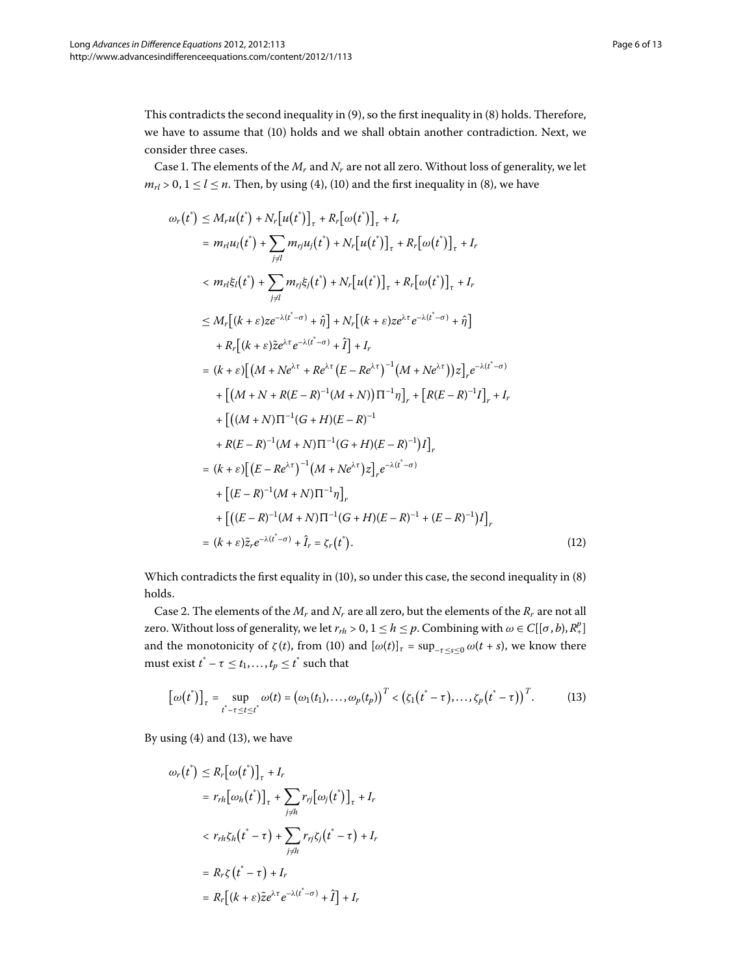This contradicts the second inequality in  $(9)$  $(9)$ , so the first inequality in  $(8)$  holds. Therefore, we have to assume that (10) holds and we shall obtain another contradiction. Next, we consider three cases.

Case 1. The elements of the  $M_r$  and  $N_r$  are not all zero. Without loss of generality, we let  $m_{rl}$  > 0,  $1 \le l \le n$ . Then, by using (4[\)](#page-4-1), (10) and the first inequality in (8), we have

$$
\omega_r(t^*) \leq M_r u(t^*) + N_r [u(t^*)]_{\tau} + R_r [\omega(t^*)]_{\tau} + I_r
$$
  
\n
$$
= m_{rl} u_l(t^*) + \sum_{j \neq l} m_{rj} u_j(t^*) + N_r [u(t^*)]_{\tau} + R_r [\omega(t^*)]_{\tau} + I_r
$$
  
\n
$$
< m_{rl} \xi_l(t^*) + \sum_{j \neq l} m_{rj} \xi_j(t^*) + N_r [u(t^*)]_{\tau} + R_r [\omega(t^*)]_{\tau} + I_r
$$
  
\n
$$
\leq M_r [(k + \varepsilon) z e^{-\lambda(t^* - \sigma)} + \hat{\eta}] + N_r [(k + \varepsilon) z e^{\lambda \tau} e^{-\lambda(t^* - \sigma)} + \hat{\eta}]
$$
  
\n
$$
+ R_r [(k + \varepsilon) \tilde{z} e^{\lambda \tau} e^{-\lambda(t^* - \sigma)} + \hat{I}] + I_r
$$
  
\n
$$
= (k + \varepsilon) [ (M + N e^{\lambda \tau} + R e^{\lambda \tau} (E - R e^{\lambda \tau})^{-1} (M + N e^{\lambda \tau})) z]_{r} e^{-\lambda(t^* - \sigma)}
$$
  
\n
$$
+ [(M + N + R(E - R)^{-1} (M + N)) \Pi^{-1} \eta]_{r} + [R(E - R)^{-1} I]_{r} + I_r
$$
  
\n
$$
+ [((M + N) \Pi^{-1} (G + H) (E - R)^{-1})]
$$
  
\n
$$
+ R(E - R)^{-1} (M + N) \Pi^{-1} (G + H) (E - R)^{-1} Y]_{r}
$$
  
\n
$$
= (k + \varepsilon) [E - R e^{\lambda \tau})^{-1} (M + N e^{\lambda \tau}) z]_{r} e^{-\lambda (t^* - \sigma)}
$$
  
\n
$$
+ [(E - R)^{-1} (M + N) \Pi^{-1} (G + H) (E - R)^{-1} + (E - R)^{-1}) I]_{r}
$$
  
\n
$$
= (k + \varepsilon) \tilde{z}_r e^{-\lambda (t^* - \sigma)} + \hat{I}_r = \zeta_r(t^*)
$$
. (12)

Which contradicts the first equality in  $(10)$  $(10)$ , so under this case, the second inequality in  $(8)$  $(8)$ holds.

Case 2. The elements of the  $M_r$  and  $N_r$  are all zero, but the elements of the  $R_r$  are not all zero. Without loss of generality, we let  $r_{rh} > 0$ ,  $1 \le h \le p$ . Combining with  $\omega \in C[[\sigma, b), R^p_+]$ and the monotonicity of  $\zeta(t)$ , from (10) and  $[\omega(t)]_{\tau} = \sup_{-\tau \le s \le 0} \omega(t+s)$ , we know there must exist  $t^* - \tau \leq t_1, \ldots, t_p \leq t^*$  such that

<span id="page-5-0"></span>
$$
\left[\omega(t^*)\right]_{\tau} = \sup_{t^*-\tau \leq t \leq t^*} \omega(t) = \left(\omega_1(t_1), \ldots, \omega_p(t_p)\right)^T < \left(\zeta_1(t^*-\tau), \ldots, \zeta_p(t^*-\tau)\right)^T. \tag{13}
$$

By using  $(4)$  $(4)$  and  $(13)$  $(13)$ , we have

$$
\omega_r(t^*) \le R_r[\omega(t^*)]_{\tau} + I_r
$$
  
\n
$$
= r_{rh}[\omega_h(t^*)]_{\tau} + \sum_{j \neq h} r_{rj}[\omega_j(t^*)]_{\tau} + I_r
$$
  
\n
$$
< r_{rh} \zeta_h(t^* - \tau) + \sum_{j \neq h} r_{rj} \zeta_j(t^* - \tau) + I_r
$$
  
\n
$$
= R_r \zeta(t^* - \tau) + I_r
$$
  
\n
$$
= R_r[(k + \varepsilon) \tilde{z} e^{\lambda \tau} e^{-\lambda(t^* - \sigma)} + \hat{I}] + I_r
$$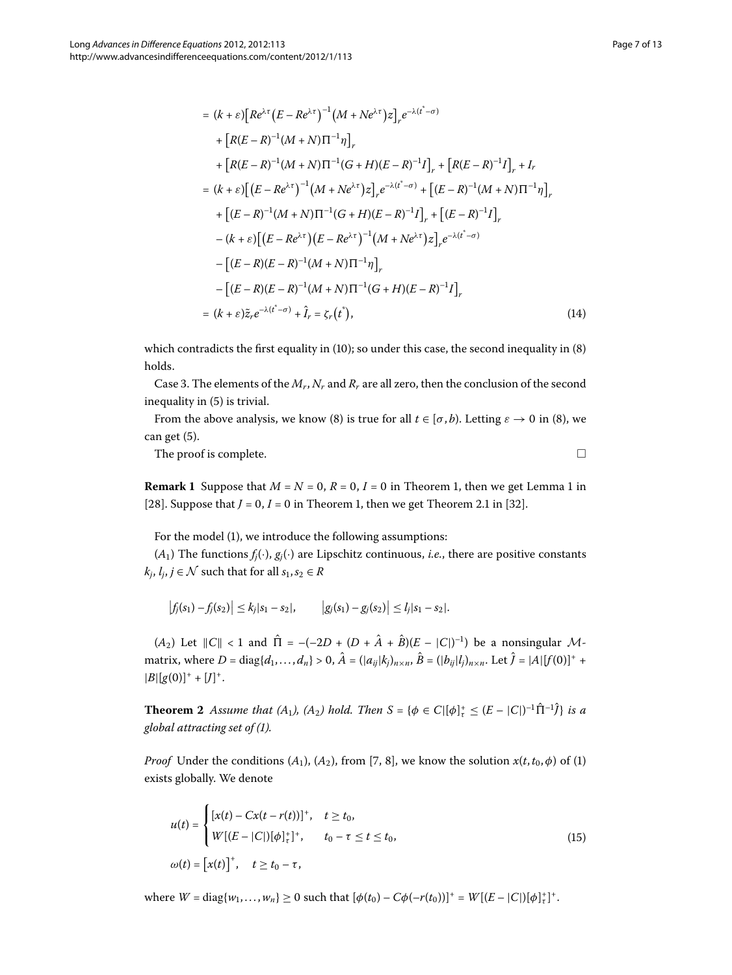$=$   $(k$ 

+

+

 $=$   $(k$ 

+

–

$$
(k + \varepsilon) \Big[ Re^{\lambda \tau} (E - Re^{\lambda \tau})^{-1} (M + Ne^{\lambda \tau}) z \Big]_{r} e^{-\lambda (t^{*} - \sigma)}
$$
  
+  $\Big[ R(E - R)^{-1} (M + N) \Pi^{-1} \eta \Big]_{r}$   
+  $\Big[ R(E - R)^{-1} (M + N) \Pi^{-1} (G + H) (E - R)^{-1} I \Big]_{r} + \Big[ R(E - R)^{-1} I \Big]_{r} + I_{r}$   
 $(k + \varepsilon) \Big[ (E - Re^{\lambda \tau})^{-1} (M + Ne^{\lambda \tau}) z \Big]_{r} e^{-\lambda (t^{*} - \sigma)} + \Big[ (E - R)^{-1} (M + N) \Pi^{-1} \eta \Big]_{r}$   
+  $\Big[ (E - R)^{-1} (M + N) \Pi^{-1} (G + H) (E - R)^{-1} I \Big]_{r} + \Big[ (E - R)^{-1} I \Big]_{r}$   
-  $(k + \varepsilon) \Big[ (E - Re^{\lambda \tau}) (E - Re^{\lambda \tau})^{-1} (M + Ne^{\lambda \tau}) z \Big]_{r} e^{-\lambda (t^{*} - \sigma)}$   
-  $\Big[ (E - R)(E - R)^{-1} (M + N) \Pi^{-1} \eta \Big]_{r}$ 

$$
-[(E - R)(E - R)^{-1}(M + N)\Pi^{-1}(G + H)(E - R)^{-1}I]_{r}
$$
  
=  $(k + \varepsilon)\tilde{z}_{r}e^{-\lambda(t^{*} - \sigma)} + \hat{I}_{r} = \zeta_{r}(t^{*}),$  (14)

which contradicts the first equality in  $(10)$  $(10)$ ; so under this case, the second inequality in  $(8)$ holds.

Case 3. The elements of the  $M_r$ ,  $N_r$  and  $R_r$  are all zero, then the conclusion of the second inequality in  $(5)$  $(5)$  is trivial.

From the above analysis, we know [\(](#page-4-1)8[\)](#page-4-1) is true for all  $t \in [\sigma, b)$ . Letting  $\varepsilon \to 0$  in (8), we can get  $(5)$  $(5)$ .

The proof is complete.  $\Box$ 

**Remark 1** Suppose that  $M = N = 0$ ,  $R = 0$ ,  $I = 0$  in Theorem 1, then we get Lemma 1 in [28[\]](#page-12-10). Suppose that  $J = 0$ [,](#page-3-3)  $I = 0$  in Theorem 1, then we get Theorem 2.1 in [32].

For the model (1), we introduce the following assumptions:

 $(A_1)$  The functions  $f_i(\cdot)$ ,  $g_i(\cdot)$  are Lipschitz continuous, *i.e.*, there are positive constants *k<sub>i</sub>*, *l<sub>i</sub>*, *j* ∈  $N$  such that for all *s*<sub>1</sub>, *s*<sub>2</sub> ∈ *R* 

$$
\left|f_j(s_1)-f_j(s_2)\right|\leq k_j|s_1-s_2|,\qquad \left|g_j(s_1)-g_j(s_2)\right|\leq l_j|s_1-s_2|.
$$

<span id="page-6-1"></span> $(A_2)$  Let  $||C|| < 1$  and  $\hat{\Pi} = -(-2D + (D + \hat{A} + \hat{B})(E - |C|)^{-1})$  be a nonsingular Mmatrix, where  $D = \text{diag}\{d_1, ..., d_n\} > 0$ ,  $\hat{A} = (|a_{ij}|k_j)_{n \times n}$ ,  $\hat{B} = (|b_{ij}|l_j)_{n \times n}$ . Let  $\hat{J} = |A|[f(0)]^+ +$  $|B|[g(0)]^+ + [J]^+$ .

**Theorem 2** Assume that  $(A_1)$ ,  $(A_2)$  hold. Then  $S = {\phi \in C | [\phi]_{\tau}^+ \leq (E - |C|)^{-1} \hat{\Pi}^{-1} \hat{J}}$  is a *global attracting set of ().*

*Proof* Under the conditions  $(A_1)$ [,](#page-12-19)  $(A_2)$ , from [7, 8[\]](#page-12-20), we know the solution  $x(t, t_0, \phi)$  of (1) exists globally. We denote

<span id="page-6-0"></span>
$$
u(t) = \begin{cases} [x(t) - Cx(t - r(t))]^{+}, & t \ge t_0, \\ W[(E - |C|)[\phi]_{\tau}^{+}]^{+}, & t_0 - \tau \le t \le t_0, \end{cases}
$$
  
\n
$$
\omega(t) = [x(t)]^{+}, \quad t \ge t_0 - \tau,
$$
\n(15)

 $\text{where } W = \text{diag}\{w_1, \dots, w_n\} \ge 0 \text{ such that } [\phi(t_0) - C\phi(-r(t_0))]^+ = W[(E - |C|)[\phi]_r^+]^+.$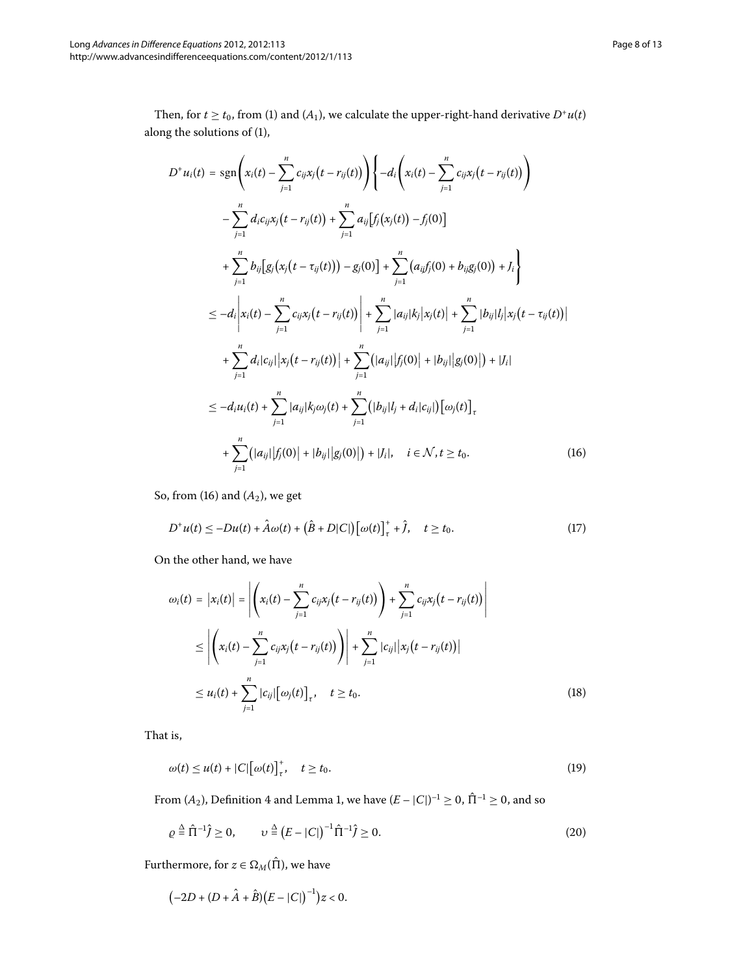<span id="page-7-0"></span>Then, for  $t \ge t_0$ , from (1[\)](#page-2-0) and ( $A_1$ ), we calculate the upper-right-hand derivative  $D^+u(t)$ along the solutions of  $(1)$  $(1)$ ,

$$
D^{\dagger} u_i(t) = \text{sgn}\left(x_i(t) - \sum_{j=1}^n c_{ij}x_j(t - r_{ij}(t))\right) \left\{-d_i\left(x_i(t) - \sum_{j=1}^n c_{ij}x_j(t - r_{ij}(t))\right) \right\}
$$
  

$$
- \sum_{j=1}^n d_i c_{ij}x_j(t - r_{ij}(t)) + \sum_{j=1}^n a_{ij}\left[f_j(x_j(t)) - f_j(0)\right]
$$
  

$$
+ \sum_{j=1}^n b_{ij}\left[g_j(x_j(t - \tau_{ij}(t))) - g_j(0)\right] + \sum_{j=1}^n (a_{ij}f_j(0) + b_{ij}g_j(0)) + I_i\right\}
$$
  

$$
\leq -d_i\left|x_i(t) - \sum_{j=1}^n c_{ij}x_j(t - r_{ij}(t))\right| + \sum_{j=1}^n |a_{ij}|k_j|x_j(t)| + \sum_{j=1}^n |b_{ij}|l_j|x_j(t - \tau_{ij}(t))| + \sum_{j=1}^n d_i|c_{ij}||x_j(t - r_{ij}(t))| + \sum_{j=1}^n (|a_{ij}||f_j(0)| + |b_{ij}||g_j(0)|) + |J_i|
$$
  

$$
\leq -d_iu_i(t) + \sum_{j=1}^n |a_{ij}|k_j\omega_j(t) + \sum_{j=1}^n (|b_{ij}|l_j + d_i|c_{ij}|)\left[\omega_j(t)\right]_{\tau}
$$
  

$$
+ \sum_{j=1}^n (|a_{ij}||f_j(0)| + |b_{ij}||g_j(0)|) + |J_i|, \quad i \in \mathcal{N}, t \geq t_0.
$$
 (16)

So, from  $(16)$  $(16)$  and  $(A_2)$ , we get

<span id="page-7-2"></span>
$$
D^+u(t) \le -Du(t) + \hat{A}\omega(t) + (\hat{B} + D|C|)\big[\omega(t)\big]_{\tau}^+ + \hat{J}, \quad t \ge t_0.
$$
\n
$$
(17)
$$

On the other hand, we have

<span id="page-7-3"></span>
$$
\omega_i(t) = |x_i(t)| = \left| \left( x_i(t) - \sum_{j=1}^n c_{ij} x_j(t - r_{ij}(t)) \right) + \sum_{j=1}^n c_{ij} x_j(t - r_{ij}(t)) \right|
$$
  
\n
$$
\leq \left| \left( x_i(t) - \sum_{j=1}^n c_{ij} x_j(t - r_{ij}(t)) \right) \right| + \sum_{j=1}^n |c_{ij}| |x_j(t - r_{ij}(t))|
$$
  
\n
$$
\leq u_i(t) + \sum_{j=1}^n |c_{ij}| [\omega_j(t)]_{\tau}, \quad t \geq t_0.
$$
\n(18)

That is,

<span id="page-7-1"></span>
$$
\omega(t) \le u(t) + |C| \big[\omega(t)\big]_t^+, \quad t \ge t_0. \tag{19}
$$

From  $(A_2)$ [,](#page-3-5) Definition 4 and Lemma 1, we have  $(E - |C|)^{-1} \ge 0$ ,  $\hat{\Pi}^{-1} \ge 0$ , and so

$$
\varrho \stackrel{\Delta}{=} \hat{\Pi}^{-1} \hat{J} \ge 0, \qquad \upsilon \stackrel{\Delta}{=} (E - |C|)^{-1} \hat{\Pi}^{-1} \hat{J} \ge 0. \tag{20}
$$

Furthermore, for  $z \in \Omega_M(\hat{\Pi})$ , we have

$$
(-2D + (D + \hat{A} + \hat{B})(E - |C|)^{-1})z < 0.
$$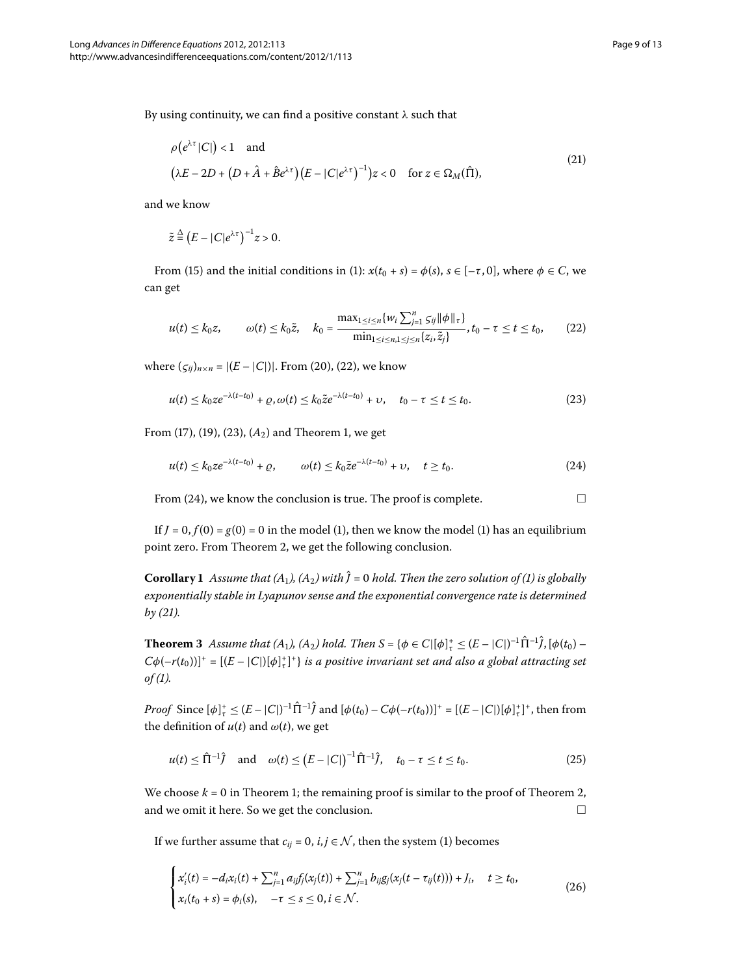By using continuity, we can find a positive constant *λ* such that

<span id="page-8-3"></span>
$$
\rho(e^{\lambda \tau}|C|) < 1 \quad \text{and}
$$
\n
$$
(\lambda E - 2D + (D + \hat{A} + \hat{B}e^{\lambda \tau})(E - |C|e^{\lambda \tau})^{-1})z < 0 \quad \text{for } z \in \Omega_M(\hat{\Pi}),
$$
\n(21)

and we know

<span id="page-8-0"></span>
$$
\tilde{z} \stackrel{\Delta}{=} \left(E - |C|e^{\lambda \tau}\right)^{-1} z > 0.
$$

From [\(](#page-6-0)15[\)](#page-2-0) and the initial conditions in (1):  $x(t_0 + s) = \phi(s)$ ,  $s \in [-\tau, 0]$ , where  $\phi \in C$ , we can get

<span id="page-8-1"></span>
$$
u(t) \le k_0 z, \qquad \omega(t) \le k_0 \tilde{z}, \quad k_0 = \frac{\max_{1 \le i \le n} \{w_i \sum_{j=1}^n S_{ij} ||\phi||_{\tau}\}}{\min_{1 \le i \le n, 1 \le j \le n} \{z_i, \tilde{z}_j\}}, t_0 - \tau \le t \le t_0,
$$
 (22)

where  $({\varsigma}_{ij})_{n \times n} = |(E - |C|)|$  $({\varsigma}_{ij})_{n \times n} = |(E - |C|)|$ . From (20), (22), we know

<span id="page-8-2"></span>
$$
u(t) \le k_0 z e^{-\lambda(t-t_0)} + \varrho, \omega(t) \le k_0 \tilde{z} e^{-\lambda(t-t_0)} + \nu, \quad t_0 - \tau \le t \le t_0.
$$
 (23)

<span id="page-8-6"></span>From (17[\)](#page-8-1)[,](#page-3-3) (19), (23),  $(A_2)$  and Theorem 1, we get

$$
u(t) \le k_0 z e^{-\lambda(t-t_0)} + \varrho, \qquad \omega(t) \le k_0 \tilde{z} e^{-\lambda(t-t_0)} + \nu, \quad t \ge t_0.
$$
 (24)

From (24), we know the conclusion is true. The proof is complete.  $\Box$ 

<span id="page-8-5"></span>If  $J = 0$ ,  $f(0) = g(0) = 0$  $f(0) = g(0) = 0$  $f(0) = g(0) = 0$  in the model (1), then we know the model (1) has an equilibrium point zero. From Theorem 2, we get the following conclusion.

**Corollary 1** Assume that  $(A_1)$  $(A_1)$ ,  $(A_2)$  with  $\hat{J} = 0$  hold. Then the zero solution of (1) is globally *exponentially stable in Lyapunov sense and the exponential convergence rate is determined*  $by (21)$ .

**Theorem 3** Assume that  $(A_1)$ ,  $(A_2)$  hold. Then  $S = {\phi \in C | [\phi]_ {\tau}^ + } \leq (E - |C|)^{-1} \hat{\Pi}^{-1} \hat{J}$ ,  $[\phi(t_0) C\phi(-r(t_0))]^+ = [(E - |C|)[\phi]_r^+]^+$  *is a positive invariant set and also a global attracting set*  $of (1).$  $of (1).$  $of (1).$ 

*Proof* Since  $[\phi]_{\tau}^{+} \leq (E - |C|)^{-1} \hat{\Pi}^{-1} \hat{J}$  and  $[\phi(t_0) - C\phi(-r(t_0))]^{+} = [(E - |C|)[\phi]_{\tau}^{+}]^{+}$ , then from the definition of  $u(t)$  and  $\omega(t)$ , we get

<span id="page-8-4"></span>
$$
u(t) \leq \hat{\Pi}^{-1}\hat{j}
$$
 and  $\omega(t) \leq (E - |C|)^{-1}\hat{\Pi}^{-1}\hat{j}$ ,  $t_0 - \tau \leq t \leq t_0$ . (25)

We choose  $k = 0$  in Theorem 1[;](#page-3-3) the remaining proof is similar to the proof of Theorem 2[,](#page-6-1) and we omit it here. So we get the conclusion.  $\Box$ 

If we further assume that  $c_{ij} = 0$ ,  $i, j \in \mathcal{N}$ , then the system (1) becomes

$$
\begin{cases} x'_{i}(t) = -d_{i}x_{i}(t) + \sum_{j=1}^{n} a_{ij}f_{j}(x_{j}(t)) + \sum_{j=1}^{n} b_{ij}g_{j}(x_{j}(t - \tau_{ij}(t))) + J_{i}, \quad t \geq t_{0}, \\ x_{i}(t_{0} + s) = \phi_{i}(s), \quad -\tau \leq s \leq 0, i \in \mathcal{N}. \end{cases}
$$
\n(26)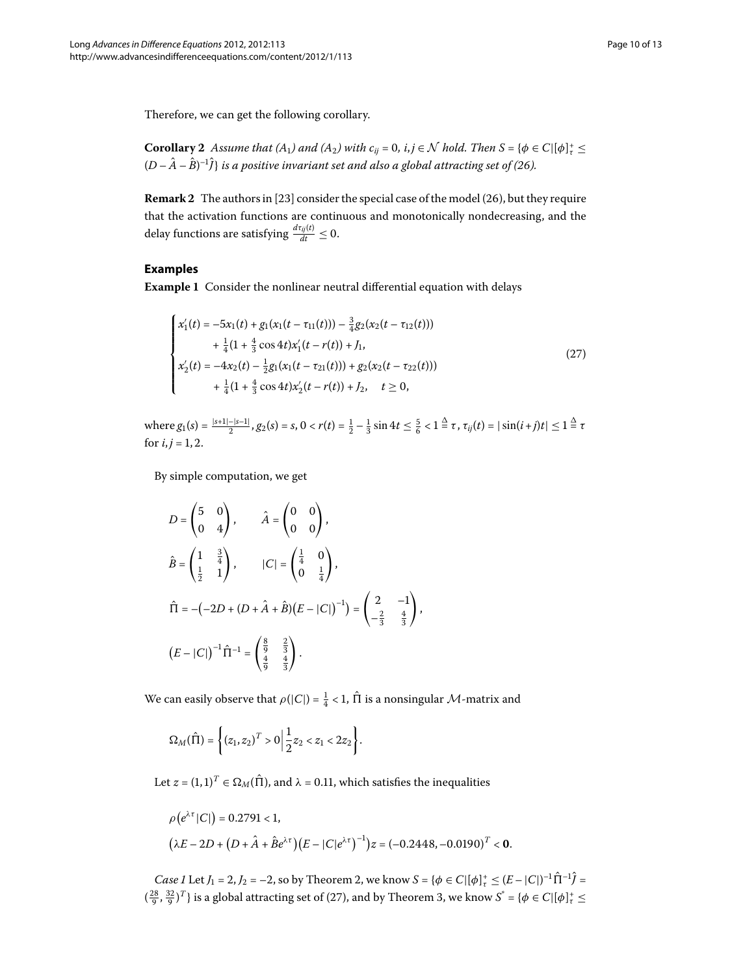<span id="page-9-2"></span>Therefore, we can get the following corollary.

**Corollary 2** *Assume that*  $(A_1)$  *and*  $(A_2)$  *with*  $c_{ij} = 0$ *, i, j*  $\in$  *N hold. Then*  $S = \{ \phi \in C | [\phi]_{\tau}^+ \leq \phi \}$  $(D - \hat{A} - \hat{B})^{-1} \hat{J}$  is a positive invariant set and also a global attracting set of (26).

<span id="page-9-1"></span>**Remark 2** The authors in [23] consider the special case of the model (26), but they require that the activation functions are continuous and monotonically nondecreasing, and the delay functions are satisfying  $\frac{d\tau_{ij}(t)}{dt} \leq 0$ .

# **Examples**

**Example 1** Consider the nonlinear neutral differential equation with delays

<span id="page-9-0"></span>
$$
\begin{cases}\nx_1'(t) = -5x_1(t) + g_1(x_1(t - \tau_{11}(t))) - \frac{3}{4}g_2(x_2(t - \tau_{12}(t))) \\
+ \frac{1}{4}(1 + \frac{4}{3}\cos 4t)x_1'(t - r(t)) + J_1, \\
x_2'(t) = -4x_2(t) - \frac{1}{2}g_1(x_1(t - \tau_{21}(t))) + g_2(x_2(t - \tau_{22}(t))) \\
+ \frac{1}{4}(1 + \frac{4}{3}\cos 4t)x_2'(t - r(t)) + J_2, \quad t \ge 0,\n\end{cases}
$$
\n(27)

where  $g_1(s) = \frac{|s+1| - |s-1|}{2}$ ,  $g_2(s) = s$ ,  $0 < r(t) = \frac{1}{2} - \frac{1}{3} \sin 4t \le \frac{5}{6} < 1 \stackrel{\Delta}{=} \tau$ ,  $\tau_{ij}(t) = |\sin(i+j)t| \le 1 \stackrel{\Delta}{=} \tau$ for  $i, j = 1, 2$ .

By simple computation, we get

$$
D = \begin{pmatrix} 5 & 0 \\ 0 & 4 \end{pmatrix}, \qquad \hat{A} = \begin{pmatrix} 0 & 0 \\ 0 & 0 \end{pmatrix},
$$
  

$$
\hat{B} = \begin{pmatrix} 1 & \frac{3}{4} \\ \frac{1}{2} & 1 \end{pmatrix}, \qquad |C| = \begin{pmatrix} \frac{1}{4} & 0 \\ 0 & \frac{1}{4} \end{pmatrix},
$$
  

$$
\hat{\Pi} = -(-2D + (D + \hat{A} + \hat{B})(E - |C|)^{-1}) = \begin{pmatrix} 2 & -1 \\ -\frac{2}{3} & \frac{4}{3} \end{pmatrix},
$$
  

$$
(E - |C|)^{-1} \hat{\Pi}^{-1} = \begin{pmatrix} \frac{8}{9} & \frac{2}{3} \\ \frac{4}{9} & \frac{4}{3} \end{pmatrix}.
$$

We can easily observe that  $\rho(|C|) = \frac{1}{4} < 1$ ,  $\hat{\Pi}$  is a nonsingular  $\mathcal{M}$ -matrix and

$$
\Omega_M(\hat{\Pi}) = \left\{ (z_1, z_2)^T > 0 \, \middle| \, \frac{1}{2} z_2 < z_1 < 2 z_2 \right\}.
$$

Let  $z = (1, 1)^T \in \Omega_M(\hat{\Pi})$ , and  $\lambda = 0.11$ , which satisfies the inequalities

$$
\rho(e^{\lambda \tau}|C|) = 0.2791 < 1,
$$
  

$$
(\lambda E - 2D + (D + \hat{A} + \hat{B}e^{\lambda \tau})(E - |C|e^{\lambda \tau})^{-1})z = (-0.2448, -0.0190)^T < 0.
$$

*Case 1* Let  $J_1 = 2$ [,](#page-6-1)  $J_2 = -2$ , so by Theorem 2, we know  $S = {\phi \in C | [\phi]_{{\tau}}^+ \leq (E - |C|)^{-1} \hat{\Pi}^{-1} \hat{J}} =$  $(\frac{28}{9}, \frac{32}{9})^T$  $(\frac{28}{9}, \frac{32}{9})^T$  $(\frac{28}{9}, \frac{32}{9})^T$ } is a global attracting set of (27)[,](#page-8-5) and by Theorem 3, we know  $S^* = \{\phi \in C | [\phi]_t^* \leq \phi \}$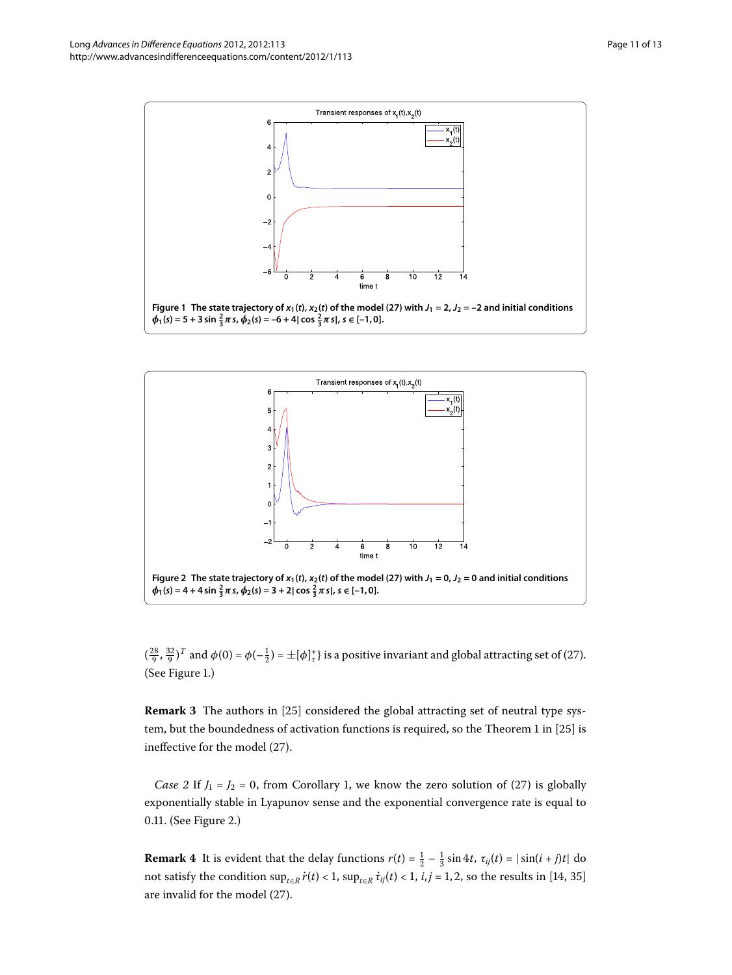<span id="page-10-0"></span>

<span id="page-10-1"></span>

 $(\frac{28}{9}, \frac{32}{9})^T$  $(\frac{28}{9}, \frac{32}{9})^T$  $(\frac{28}{9}, \frac{32}{9})^T$  and  $\phi(0) = \phi(-\frac{1}{2}) = \pm [\phi]_{\tau}^+$  is a positive invariant and global attracting set of (27). (See Figure 1.)

**Remark 3** The authors in [\[](#page-12-7)25] considered the global attracting set of neutral type sys-tem, but the boundedness of activation functions is required, so the Theorem 1 in [\[](#page-12-7)25] is ineffective for the model [\(](#page-9-0)27).

*Case 2* If  $J_1 = J_2 = 0$ , from Corollary 1, we know the zero solution of (27) is globally exponentially stable in Lyapunov sense and the exponential convergence rate is equal to 0[.](#page-10-1)11. (See Figure 2.)

**Remark 4** It is evident that the delay functions  $r(t) = \frac{1}{2} - \frac{1}{3} \sin 4t$ ,  $\tau_{ij}(t) = |\sin(i + j)t|$  do not satisfy the condition  $\sup_{t \in R} \dot{r}(t) < 1$ ,  $\sup_{t \in R} \dot{\tau}_{ij}(t) < 1$ ,  $i, j = 1, 2$ , so the results in [\[](#page-12-14)14, 35] are invalid for the model (27[\)](#page-9-0).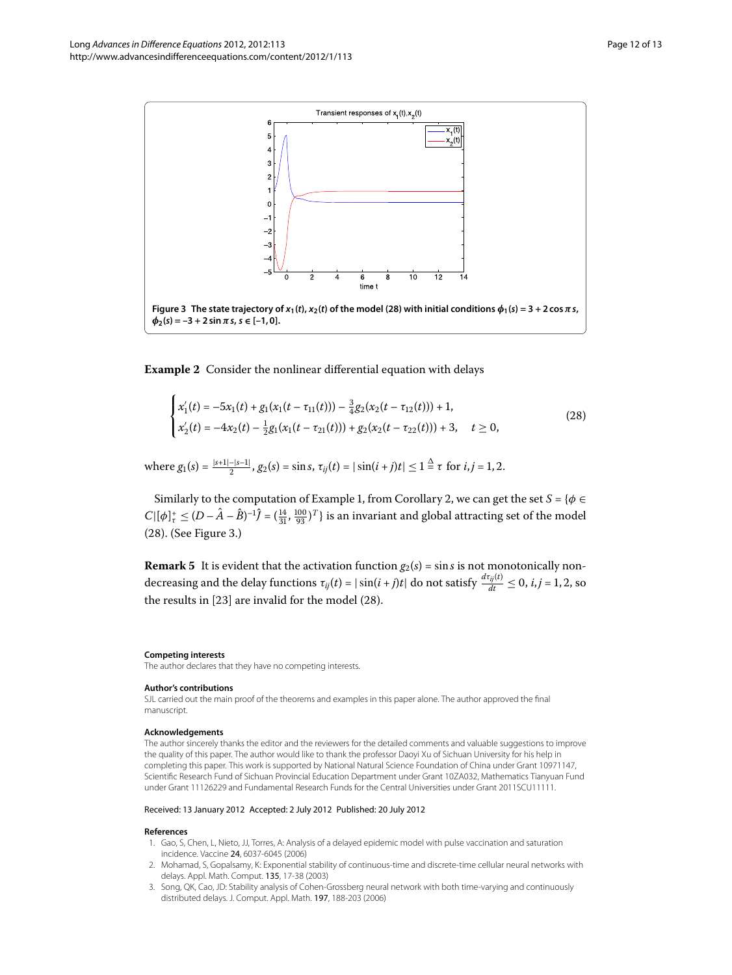<span id="page-11-3"></span>

**Example 2** Consider the nonlinear differential equation with delays

<span id="page-11-2"></span>
$$
\begin{cases}\nx_1'(t) = -5x_1(t) + g_1(x_1(t - \tau_{11}(t))) - \frac{3}{4}g_2(x_2(t - \tau_{12}(t))) + 1, \\
x_2'(t) = -4x_2(t) - \frac{1}{2}g_1(x_1(t - \tau_{21}(t))) + g_2(x_2(t - \tau_{22}(t))) + 3, \quad t \ge 0,\n\end{cases}
$$
\n(28)

 $\text{where } g_1(s) = \frac{|s+1| - |s-1|}{2}, g_2(s) = \sin s, \ \tau_{ij}(t) = |\sin(i+j)t| \leq 1 \stackrel{\Delta}{=} \tau \text{ for } i, j = 1, 2.$ 

Similarly to the computation of Example 1[,](#page-9-1) from Corollary 2, we can get the set  $S = \{\phi \in$  $C|[\phi]_7^+ \leq (D - \hat{A} - \hat{B})^{-1}\hat{J} = (\frac{14}{31}, \frac{100}{93})^T\}$  is an invariant and global attracting set of the model  $(28)$  $(28)$ . (See Figure 3.)

**Remark 5** It is evident that the activation function  $g_2(s) = \sin s$  is not monotonically nondecreasing and the delay functions  $\tau_{ij}(t) = |\sin(i+j)t|$  do not satisfy  $\frac{d\tau_{ij}(t)}{dt} \le 0$ , *i*, *j* = 1, 2, so the results in  $[23]$  $[23]$  are invalid for the model  $(28)$ .

#### **Competing interests**

The author declares that they have no competing interests.

#### **Author's contributions**

SJL carried out the main proof of the theorems and examples in this paper alone. The author approved the final manuscript.

#### <span id="page-11-0"></span>**Acknowledgements**

<span id="page-11-1"></span>The author sincerely thanks the editor and the reviewers for the detailed comments and valuable suggestions to improve the quality of this paper. The author would like to thank the professor Daoyi Xu of Sichuan University for his help in completing this paper. This work is supported by National Natural Science Foundation of China under Grant 10971147, Scientific Research Fund of Sichuan Provincial Education Department under Grant 10ZA032, Mathematics Tianyuan Fund under Grant 11126229 and Fundamental Research Funds for the Central Universities under Grant 2011SCU11111.

#### Received: 13 January 2012 Accepted: 2 July 2012 Published: 20 July 2012

#### **References**

- 1. Gao, S, Chen, L, Nieto, JJ, Torres, A: Analysis of a delayed epidemic model with pulse vaccination and saturation incidence. Vaccine 24, 6037-6045 (2006)
- 2. Mohamad, S, Gopalsamy, K: Exponential stability of continuous-time and discrete-time cellular neural networks with delays. Appl. Math. Comput. 135, 17-38 (2003)
- 3. Song, QK, Cao, JD: Stability analysis of Cohen-Grossberg neural network with both time-varying and continuously distributed delays. J. Comput. Appl. Math. 197, 188-203 (2006)